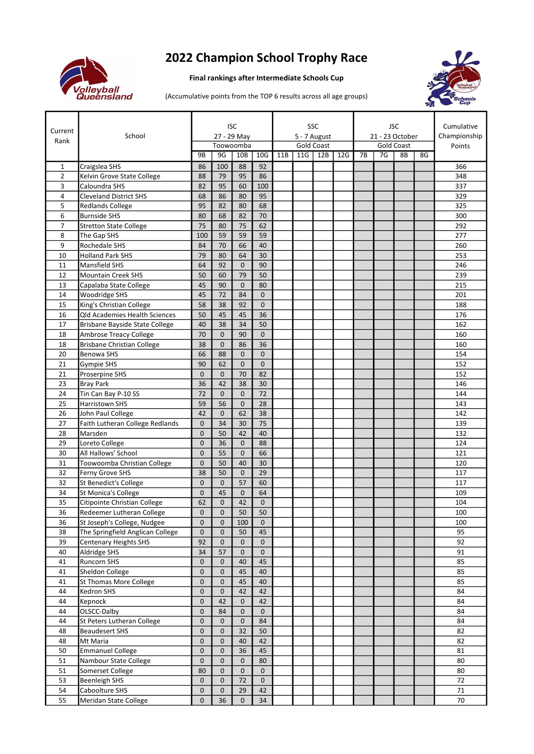

## 2022 Champion School Trophy Race

## Final rankings after Intermediate Schools Cup



(Accumulative points from the TOP 6 results across all age groups)

| Current        | School                                                          | <b>ISC</b><br>27 - 29 May      |                    |                              |                 |                                   |     | SSC |     | <b>JSC</b><br>21 - 23 October |    |    |    | Cumulative<br>Championship |
|----------------|-----------------------------------------------------------------|--------------------------------|--------------------|------------------------------|-----------------|-----------------------------------|-----|-----|-----|-------------------------------|----|----|----|----------------------------|
| Rank           |                                                                 | Toowoomba                      |                    |                              |                 | 5 - 7 August<br><b>Gold Coast</b> |     |     |     | <b>Gold Coast</b>             |    |    |    | Points                     |
|                |                                                                 | 9B                             | 9G                 | 10B                          | 10 <sub>G</sub> | 11B                               | 11G | 12B | 12G | 7B                            | 7G | 8B | 8G |                            |
| 1              | Craigslea SHS                                                   | 86                             | 100                | 88                           | 92              |                                   |     |     |     |                               |    |    |    | 366                        |
| $\overline{2}$ | Kelvin Grove State College                                      | 88                             | 79                 | 95                           | 86              |                                   |     |     |     |                               |    |    |    | 348                        |
| 3              | Caloundra SHS                                                   | 82                             | 95                 | 60                           | 100             |                                   |     |     |     |                               |    |    |    | 337                        |
| 4              | <b>Cleveland District SHS</b>                                   | 68                             | 86                 | 80                           | 95              |                                   |     |     |     |                               |    |    |    | 329                        |
| 5              | <b>Redlands College</b>                                         | 95                             | 82                 | 80                           | 68              |                                   |     |     |     |                               |    |    |    | 325                        |
| 6              | <b>Burnside SHS</b>                                             | 80                             | 68                 | 82                           | 70              |                                   |     |     |     |                               |    |    |    | 300                        |
| $\overline{7}$ | <b>Stretton State College</b>                                   | 75                             | 80<br>59           | 75<br>59                     | 62<br>59        |                                   |     |     |     |                               |    |    |    | 292<br>277                 |
| 8<br>9         | The Gap SHS<br>Rochedale SHS                                    | 100<br>84                      | 70                 | 66                           | 40              |                                   |     |     |     |                               |    |    |    | 260                        |
| 10             | <b>Holland Park SHS</b>                                         | 79                             | 80                 | 64                           | 30              |                                   |     |     |     |                               |    |    |    | 253                        |
| 11             | <b>Mansfield SHS</b>                                            | 64                             | 92                 | $\mathbf{0}$                 | 90              |                                   |     |     |     |                               |    |    |    | 246                        |
| 12             | <b>Mountain Creek SHS</b>                                       | 50                             | 60                 | 79                           | 50              |                                   |     |     |     |                               |    |    |    | 239                        |
| 13             | Capalaba State College                                          | 45                             | 90                 | $\Omega$                     | 80              |                                   |     |     |     |                               |    |    |    | 215                        |
| 14             | Woodridge SHS                                                   | 45                             | 72                 | 84                           | $\overline{0}$  |                                   |     |     |     |                               |    |    |    | 201                        |
| 15             | King's Christian College                                        | 58                             | 38                 | 92                           | $\overline{0}$  |                                   |     |     |     |                               |    |    |    | 188                        |
| 16             | <b>Qld Academies Health Sciences</b>                            | 50                             | 45                 | 45                           | 36              |                                   |     |     |     |                               |    |    |    | 176                        |
| 17             | Brisbane Bayside State College                                  | 40                             | 38                 | 34                           | 50              |                                   |     |     |     |                               |    |    |    | 162                        |
| 18             | Ambrose Treacy College                                          | 70                             | $\mathbf{0}$       | 90                           | $\overline{0}$  |                                   |     |     |     |                               |    |    |    | 160                        |
| 18             | <b>Brisbane Christian College</b>                               | 38                             | $\mathbf{0}$       | 86                           | 36              |                                   |     |     |     |                               |    |    |    | 160                        |
| 20             | <b>Benowa SHS</b>                                               | 66                             | 88                 | $\mathbf 0$                  | $\overline{0}$  |                                   |     |     |     |                               |    |    |    | 154                        |
| 21             | <b>Gympie SHS</b>                                               | 90                             | 62                 | $\mathbf 0$                  | $\overline{0}$  |                                   |     |     |     |                               |    |    |    | 152                        |
| 21<br>23       | Proserpine SHS                                                  | 0<br>36                        | $\mathbf{0}$<br>42 | 70<br>38                     | 82<br>30        |                                   |     |     |     |                               |    |    |    | 152                        |
| 24             | <b>Bray Park</b><br>Tin Can Bay P-10 SS                         | 72                             | $\mathbf{0}$       | $\mathbf{0}$                 | 72              |                                   |     |     |     |                               |    |    |    | 146<br>144                 |
| 25             | Harristown SHS                                                  | 59                             | 56                 | $\mathbf{0}$                 | 28              |                                   |     |     |     |                               |    |    |    | 143                        |
| 26             | John Paul College                                               | 42                             | $\mathbf 0$        | 62                           | 38              |                                   |     |     |     |                               |    |    |    | 142                        |
| 27             | Faith Lutheran College Redlands                                 | 0                              | 34                 | 30                           | 75              |                                   |     |     |     |                               |    |    |    | 139                        |
| 28             | Marsden                                                         | $\overline{0}$                 | 50                 | 42                           | 40              |                                   |     |     |     |                               |    |    |    | 132                        |
| 29             | Loreto College                                                  | $\overline{0}$                 | 36                 | $\mathbf{0}$                 | 88              |                                   |     |     |     |                               |    |    |    | 124                        |
| 30             | All Hallows' School                                             | $\overline{0}$                 | 55                 | $\mathbf{0}$                 | 66              |                                   |     |     |     |                               |    |    |    | 121                        |
| 31             | Toowoomba Christian College                                     | $\overline{0}$                 | 50                 | 40                           | 30              |                                   |     |     |     |                               |    |    |    | 120                        |
| 32             | Ferny Grove SHS                                                 | 38                             | 50                 | $\mathbf{0}$                 | 29              |                                   |     |     |     |                               |    |    |    | 117                        |
| 32             | St Benedict's College                                           | $\mathbf{0}$                   | $\mathbf{0}$       | 57                           | 60              |                                   |     |     |     |                               |    |    |    | 117                        |
| 34             | St Monica's College                                             | $\overline{0}$                 | 45                 | $\mathbf 0$                  | 64              |                                   |     |     |     |                               |    |    |    | 109                        |
| 35             | Citipointe Christian College                                    | 62                             | $\mathbf{0}$       | 42                           | $\mathbf{0}$    |                                   |     |     |     |                               |    |    |    | 104                        |
| 36             | Redeemer Lutheran College                                       | 0                              | $\pmb{0}$          | 50                           | 50              |                                   |     |     |     |                               |    |    |    | 100                        |
| 36<br>38       | St Joseph's College, Nudgee<br>The Springfield Anglican College | $\overline{0}$<br>$\mathbf{0}$ | 0<br>0             | 100<br>50                    | 0<br>45         |                                   |     |     |     |                               |    |    |    | 100<br>95                  |
| 39             | <b>Centenary Heights SHS</b>                                    | 92                             | $\pmb{0}$          | $\mathbf{0}$                 | $\mathbf 0$     |                                   |     |     |     |                               |    |    |    | 92                         |
| 40             | Aldridge SHS                                                    | 34                             | 57                 | $\mathbf{0}$                 | $\mathbf 0$     |                                   |     |     |     |                               |    |    |    | 91                         |
| 41             | Runcorn SHS                                                     | 0                              | 0                  | 40                           | 45              |                                   |     |     |     |                               |    |    |    | 85                         |
| 41             | Sheldon College                                                 | $\mathbf 0$                    | $\mathbf 0$        | 45                           | 40              |                                   |     |     |     |                               |    |    |    | 85                         |
| 41             | St Thomas More College                                          | 0                              | 0                  | 45                           | 40              |                                   |     |     |     |                               |    |    |    | 85                         |
| 44             | Kedron SHS                                                      | 0                              | 0                  | 42                           | 42              |                                   |     |     |     |                               |    |    |    | 84                         |
| 44             | Kepnock                                                         | 0                              | 42                 | $\mathbf{0}$                 | 42              |                                   |     |     |     |                               |    |    |    | 84                         |
| 44             | OLSCC-Dalby                                                     | 0                              | 84                 | $\mathbf{0}$                 | 0               |                                   |     |     |     |                               |    |    |    | 84                         |
| 44             | St Peters Lutheran College                                      | 0                              | $\mathbf 0$        | $\mathbf{0}$                 | 84              |                                   |     |     |     |                               |    |    |    | 84                         |
| 48             | <b>Beaudesert SHS</b>                                           | 0                              | 0                  | 32                           | 50              |                                   |     |     |     |                               |    |    |    | 82                         |
| 48             | Mt Maria                                                        | $\pmb{0}$                      | 0                  | 40                           | 42              |                                   |     |     |     |                               |    |    |    | 82                         |
| 50             | <b>Emmanuel College</b>                                         | 0                              | 0                  | 36                           | 45              |                                   |     |     |     |                               |    |    |    | 81                         |
| 51<br>51       | Nambour State College<br>Somerset College                       | 0<br>80                        | 0<br>$\mathbf 0$   | $\mathbf{0}$<br>$\mathbf{0}$ | 80<br>0         |                                   |     |     |     |                               |    |    |    | 80<br>80                   |
| 53             | <b>Beenleigh SHS</b>                                            | 0                              | 0                  | 72                           | 0               |                                   |     |     |     |                               |    |    |    | 72                         |
| 54             | Caboolture SHS                                                  | 0                              | $\mathbf 0$        | 29                           | 42              |                                   |     |     |     |                               |    |    |    | $71\,$                     |
| 55             | Meridan State College                                           | 0                              | 36                 | $\mathbf{0}$                 | $34\,$          |                                   |     |     |     |                               |    |    |    | 70                         |